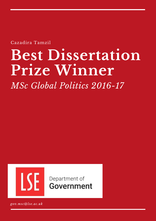Cazadira Tamzil

# **Best Dissertation Prize Winner**

*MSc Global Politics 2016-17*



Department of Government

*gov.msc@lse.ac.uk*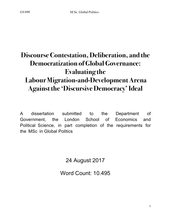## **Discourse Contestation, Deliberation, and the Democratization of GlobalGovernance: Evaluating the Labour Migration-and-DevelopmentArena Against the 'Discursive Democracy' Ideal**

A dissertation submitted to the Department of Government, the London School of Economics and Political Science, in part completion of the requirements for the MSc in Global Politics

24 August 2017

Word Count: 10.495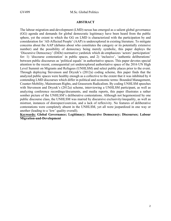#### **ABSTRACT**

The labour migration-and-development (LMD) nexus has emerged as a salient global governance (GG) agenda and demands for global democratic legitimacy have been heard from the public sphere, yet the extent to which the GG on LMD is characterized with the participation by and consideration for 'All-Affected People' (AAP) is underexplored in existing literature. To mitigate concerns about the AAP (debates about who constitutes the category or its potentially extensive number) and the possibility of democracy being merely symbolic, this paper deploys the 'Discursive Democracy' (DiDe) normative yardstick which de-emphasizes 'actors' participation' for: 1) 'discourse contestation' in public spaces, and 2) 'inclusive', 'authentic deliberations' between public discourses as 'political equals' in authoritative spaces. This paper devotes special attention to the recent, consequential yet underexplored authoritative space of the 2016 UN High Level Summit on Migrants and Refugees (UNHLSM) and select public places prior to the event. Through deploying Stevenson and Dryzek's (2012a) coding scheme, this paper finds that the analyzed public spaces were healthy enough as a collective to the extent that it was inhibited by 4 contending LMD discourses which differ in political and economic terms: Bounded Management, Counter-Mobility, Mainstream Rights, and Grassroots Radicalism. By coding UNHLSM speeches with Stevenson and Dryzek's (2012a) scheme, interviewing a UNHLSM participant, as well as analyzing conference recordings/documents, and media reports, this paper illustrates a rather somber picture of the UNHLSM's deliberative contestations. Although not hegemonized by one public discourse class, the UNHLSM was marred by discursive exclusivity/inequality, as well as mistrust, instances of disrespect/coercion, and a lack of reflexivity. No features of deliberative contestations were completely absent in the UNHLSM, yet all were jeopardized in one way or another (leading to a 'low' quality overall).

**Keywords: Global Governance; Legitimacy; Discursive Democracy; Discourses; Labour Migration-and-Development**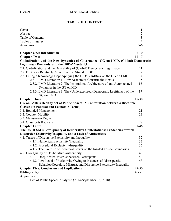#### **TABLE OF CONTENTS**

| Cover                                                                                                    | $\mathbf{1}$   |
|----------------------------------------------------------------------------------------------------------|----------------|
| Abstract                                                                                                 | $\overline{c}$ |
| Table of Contents                                                                                        | $\overline{3}$ |
| Tables of Figures                                                                                        | $\overline{4}$ |
| Acronyms                                                                                                 | $5-6$          |
| <b>Chapter One: Introduction</b>                                                                         | $7 - 10$       |
| <b>Chapter Two:</b>                                                                                      | $11 - 17$      |
| Globalization and the New Dynamics of Governance: GG on LMD, (Global) Democratic                         |                |
| Legitimacy Demands, and the 'DiDe' Yardstick                                                             |                |
| 2.1. Globalization and the Desirability of (Global) Democratic Legitimacy                                | 11             |
| 2.2. DiDe as a Relatively More Practical Strand of DD                                                    | 12             |
| 2.3. Filling a Knowledge Gap: Applying the DiDe Yardstick on the GG on LMD                               | 14             |
| 2.3.1. LMD Literature 1: How Academics Construe the Nexus                                                | 15             |
| 2.3.2. LMD Literature 2: The Institutional Architecture of and Actor-related<br>Dynamics in the GG on MD | 16             |
| 2.3.3. LMD Literature 3: The (Underexplored) Democratic Legitimacy of the<br>GG on LMD                   | 17             |
| <b>Chapter Three:</b>                                                                                    | 18-30          |
| GG on LMD's Healthy Set of Public Spaces: A Contestation between 4 Discourse                             |                |
| <b>Classes (in Political and Economic Terms)</b>                                                         |                |
| 3.1. Bounded Management                                                                                  | 21             |
| 3.2. Counter-Mobility                                                                                    | 23             |
| 3.3. Mainstream Rights                                                                                   | 25             |
| 3.4. Grassroots Radicalism                                                                               | 27             |
| <b>Chapter Four:</b>                                                                                     | $31 - 46$      |
| The UNHLSM's Low Quality of Deliberative Contestations: Tendencies toward                                |                |
| Discursive Exclusivity/Inequality and a Lack of Authenticity                                             |                |
| 4.1. Traces of Discursive Exclusivity and Inequality                                                     | 32             |
| 4.1.1. Numerical Exclusivity/Inequality                                                                  | 32             |
| 4.1.2. Procedural Exclusivity/Inequality                                                                 | 36             |
| 4.1.3. The Exercise of Structural Power on the Inside/Outside Boundaries                                 | 38             |
| 4.2. Low Quality of Deliberative Authenticity                                                            | 40             |
| 4.2.1. Deep-Seated Mistrust between Participants                                                         | 40             |
| 4.2.2. Low Level of Reflexivity Owing to Instances of Disrespectful                                      | 43             |
| Behavior/Coercion, Mistrust, and Discursive Exclusivity/Inequality                                       |                |
| <b>Chapter Five: Conclusion and Implications</b>                                                         | $47 - 50$      |
| <b>Bibliography</b>                                                                                      | $46 - 57$      |
| Appendice                                                                                                |                |

1. List of Public Spaces Analyzed (2014-September 18, 2018)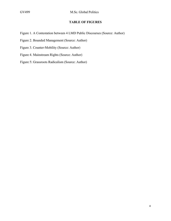#### **TABLE OF FIGURES**

- Figure 1. A Contestation between 4 LMD Public Discourses (Source: Author)
- Figure 2. Bounded Management (Source: Author)
- Figure 3. Counter-Mobility (Source: Author)
- Figure 4. Mainstream Rights (Source: Author)
- Figure 5: Grassroots Radicalism (Source: Author)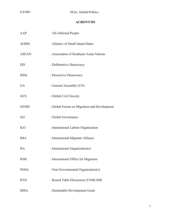#### **ACRONYMS**

| AAP          | : All-Affected People                       |
|--------------|---------------------------------------------|
| <b>AOSIS</b> | : Alliance of Small Island States           |
| <b>ASEAN</b> | : Association of Southeast Asian Nations    |
| DD           | : Deliberative Democracy                    |
| DiDe         | : Discursive Democracy                      |
| GA           | : General Assembly (UN)                     |
| GCS          | : Global Civil Society                      |
| <b>GFMD</b>  | : Global Forum on Migration and Development |
| GG           | : Global Governance                         |
| <b>ILO</b>   | : International Labour Organization         |
| <b>IMA</b>   | : International Migrants Alliance           |
| <b>IOs</b>   | : International Organization(s)             |
| <b>IOM</b>   | : International Office for Migration        |
| <b>NGOs</b>  | : Non-Governmental Organization(s)          |
| <b>RTD</b>   | : Round Table Discussion (UNHLSM)           |
| <b>SDGs</b>  | : Sustainable Development Goals             |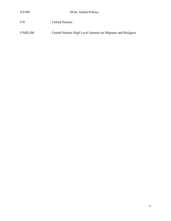#### UN : United Nations

UNHLSM : United Nations High Level Summit on Migrants and Refugees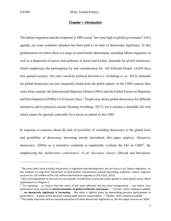#### Chapter I. Introduction

The labour migration-and-development (LMD) nexus<sup>1</sup> has risen high in global governance<sup>2</sup> (GG) agenda, yet scant academic attention has been paid to its state of democratic legitimacy. In this globalization era where there is a surge in cross-border phenomena, including labour migration, as well as a dispersion of power and authority to actors and locales, demands for *global* democracy which emphasizes the participation by and consideration for 'All-Affected People' (AAP) have now gained currency. Not only voiced by political theorists (i.e. Archibugi *et. al.,* 2012), demands for global democracy are now frequently heard from the public sphere. In the LMD context, they come from, namely, the International Migrants Alliance (IMA) and the Global Forum on Migration and Development (GFMD) Civil Society Days.<sup>3</sup> People may desire global democracy for different normative and or practical reasons (Koenig-Archibugi, 2017), yet it remains a desirable GG trait which cannot be ignored, especially for a nexus as salient as the LMD.

In response to concerns about the lack of *feasibility* of extending democracy to the global level and possibility of democracy becoming merely procedural, this paper employs 'discursive democracy' (DiDe) as a normative yardstick to empirically evaluate the GG on  $LMD<sup>4</sup>$ . By emphasizing the '*deliberative contestation*' of *all* '*discourse classes*' (Dryzek and Stevenson,

 $1$  The term often used in policy documents is migration-and-development, yet our focus is on 'labour migration', or the medium to long-term movement to find (better) employment abroad (excluding students). Labour migrants account for 150 million of the 232 million international migrants in 2013 (ILO, 2015).

 $2^{2}$  GG is conceptualized as the sum of cross-border coordination to provide public goods or solve global issues. More explanations in Chapter 2.

<sup>&</sup>lt;sup>3</sup> "I'm speaking ... to ensure that the voice of the most affected and the most marginalized ... are heard. Your declaration must commit to **democratization of global institution and power** ..." (Lestari, 2015; emphasis added); "... **no democratic legitimacy is increasing** ... We claim a rightful place by demanding genuine participation in governance ... A place at the decision-making table and co-responsibility ..." (Packer, 2015; emphasis added

<sup>&</sup>lt;sup>4</sup> The public may have various conceptualizations of what democratic legitimacy is, yet this paper focuses on 'DiDe'.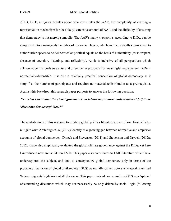2011), DiDe mitigates debates about who constitutes the AAP, the complexity of crafting a representation mechanism for the (likely) extensive amount of AAP, and the difficulty of ensuring that democracy is not merely symbolic. The AAP's many viewpoints, according to DiDe, can be simplified into a manageable number of discourse classes, which are then (ideally) transferred to authoritative spaces to be deliberated as political equals on the basis of authenticity (trust, respect, absence of coercion, listening, and reflexivity). As it is inclusive of all perspectives which acknowledge that problems exist and offers better prospects for meaningful engagement, DiDe is normatively-defensible. It is also a relatively practical conception of global democracy as it simplifies the number of participants and requires no material redistribution as a pre-requisite. Against this backdrop, this research paper purports to answer the following question:

## *"To what extent does the global governance on labour migration-and-development fulfill the 'discursive democracy' ideal?"*

The contributions of this research to existing global politics literature are as follow. First, it helps mitigate what Archibugi *et. al.* (2012) identify as a growing gap between normative and empirical accounts of global democracy. Dryzek and Stevenson (2011) and Stevenson and Dryzek (2012a; 2012b) have also empirically-evaluated the global climate governance against the DiDe, yet here I introduce a new arena: GG on LMD. This paper also contributes to LMD literature which have underexplored the subject, and tend to conceptualize global democracy only in terms of the procedural inclusion of global civil society (GCS) as socially-driven actors who speak a unified 'labour migrants' rights-oriented' discourse. This paper instead conceptualizes GCS as a 'sphere' of contending discourses which may not necessarily be only driven by social logic (following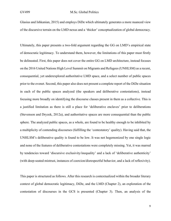#### GV499 M.Sc. Global Politics

Glasius and Ishkanian, 2015) and employs DiDe which ultimately generates a more nuanced view of the discursive terrain on the LMD nexus and a 'thicker' conceptualization of global democracy.

Ultimately, this paper presents a two-fold argument regarding the GG on LMD's empirical state of democratic legitimacy. To understand them, however, the limitations of this paper must firstly be delineated. First, this paper does not cover the entire GG on LMD architecture, instead focuses on the 2016 United Nations High Level Summit on Migrants and Refugees (UNHLSM) as a recent, consequential, yet underexplored authoritative LMD space, and a select number of public spaces prior to the evenet. Second, this paper also does not present a complete report of the DiDe situation in each of the public spaces analyzed (the speakers and deliberative contestations), instead focusing more broadly on identifying the discourse classes present in them as a collective. This is a justified limitation as there is still a place for 'deliberative enclaves' prior to deliberations (Stevenson and Dryzek, 2012a), and authoritative spaces are more consequential than the public sphere. The analyzed public spaces, as a whole, are found to be healthy enough to be inhibited by a multiplicity of contending discourses (fulfilling the 'contestatory' quality). Having said that, the UNHLSM's deliberative quality is found to be low. It was not hegemonized by one single logic and none of the features of deliberative contestations were completely missing. Yet, it was marred by tendencies toward 'discursive exclusivity/inequality' and a lack of 'deliberative authenticity' (with deep-seated mistrust, instances of coercion/disrespectful behavior, and a lack of reflexivity).

This paper is structured as follows. After this research is contextualized within the broader literary context of global democratic legitimacy, DiDe, and the LMD (Chapter 2), an exploration of the contestation of discourses in the GCS is presented (Chapter 3). Then, an analysis of the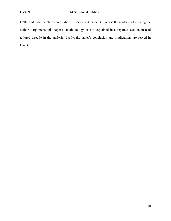UNHLSM's deliberative contestations is served in Chapter 4. To ease the readers in following the author's argument, this paper's 'methodology' is not explained in a separate section, instead tailored directly in the analysis. Lastly, the paper's conclusion and implications are served in Chapter 5.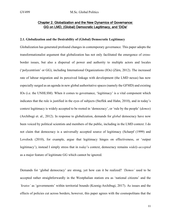#### Chapter 2. Globalization and the New Dynamics of Governance: GG on LMD, (Global) Democratic Legitimacy, and 'DiDe'

#### **2.1. Globalization and the Desirability of (Global) Democratic Legitimacy**

Globalization has generated profound changes in contemporary governance. This paper adopts the transformationalist argument that globalization has not only facilitated the emergence of crossborder issues, but also a dispersal of power and authority to multiple actors and locales ('polycentrism' or GG), including International Organizations (IOs) (Zürn, 2012). The increased rate of labour migration and its perceived linkage with development (the LMD nexus) has now especially surged as an agenda in new global authoritative spaces (namely the GFMD) and existing IOs (i.e. the UNHLSM). When it comes to governance, 'legitimacy' is a vital component which indicates that the rule is justified in the eyes of subjects (Steffek and Hahn, 2010), and in today's context legitimacy is widely accepted to be rooted in 'democracy', or 'rule by the people' (*demos*) (Archibugi et. al., 2012). In response to globalization, demands for *global* democracy have now been voiced by political scientists and members of the public, including in the LMD context. I do not claim that democracy is a universally accepted source of legitimacy (Scharpf (1999) and Lovelock (2010), for example, argue that legitimacy hinges on effectiveness, or 'output legitimacy'), instead I simply stress that in *today*'s context, democracy remains *widely-accepted* as a major feature of legitimate GG which cannot be ignored.

Demands for 'global democracy' are strong, yet how can it be realized? *'Demos'* used to be accepted rather straightforwardly in the Westphalian statism era as 'national citizens' and the *'kratos'* as 'governments' within territorial bounds (Koenig-Archibugi, 2017). As issues and the effects of policies cut across borders, however, this paper agrees with the cosmopolitans that the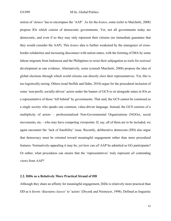notion of '*demos*' has to encompass the 'AAP'. As for the *kratos*, some (refer to Marchetti, 2008) propose IOs which consist of democratic governments. Yet, not all governments today are democratic, and even if so they may only represent their citizens (no immediate guarantee that they would consider the AAP). This *kratos* idea is further weakened by the emergence of crossborder solidarities and increasing disconnect with nation-states, with the forming of IMA by some labour migrants from Indonesia and the Philippines to resist their subjugation as tools for *national* development as one evidence. Alternatively, some (consult Marchetti, 2008) propose the idea of global elections through which world citizens can directly elect their representatives. Yet, this is too logistically-taxing. Others (read Steffek and Hahn, 2010) argue for the procedural inclusion of some 'non-profit, socially-driven' actors under the banner of GCS to sit alongside states in IOs as a representative of those 'left behind' by governments. That said, the GCS cannot be construed as a single society who speaks one common, value-driven language. Instead, the GCS consists of a multiplicity of actors – professionalized Non-Governmental Organizations (NGOs), social movements, etc. - who may have competing viewpoints. If, say, all of them are to be included, we again encounter the 'lack of feasibility' issue. Recently, deliberative democrats (DD) also argue that democracy must be oriented toward meaningful engagement rather than mere procedural features. Normatively-appealing it may be, yet how can *all* AAP be admitted as GG participants? Or rather, what procedures can ensure that the 'representatives' truly represent *all* contending views from AAP?

#### **2.2. DiDe as a Relatively More Practical Strand of DD**

Although they share an affinity for meaningful engagement, DiDe is relatively more practical than DD as it favors 'discourse *classes*' to 'actors' (Dryzek and Niemeyer, 1998). Defined as linguistic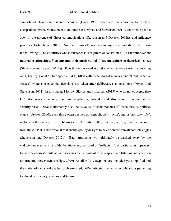symbols which represent shared meanings (Hajer, 1995), discourses are consequential as they encapsulate diverse values, needs, and interests (Dryzek and Stevenson, 2011), coordinate people even in the absence of direct communications (Stevenson and Dryzek, 2012a), and influence practices (Holzscheiter, 2010). Discourse classes themselves are argued to embody similarities in the following: 1) **basic entities** whose existence is recognized or constructed, 2) assumptions about **natural relationships**, 3) **agents and their motives**, and 4) **key metaphors** or rhetorical devices (Stevenson and Dryzek, 2012a). GG is thus envisioned as a 'global deliberative system' consisting of: 1) healthy global 'public spaces' (GCS) filled with contending discourses, and 2) 'authoritative spaces' where consequential decisions are taken after deliberative contestations (Dryzek and Stevenson, 2011). In this paper, I follow Glasius and Ishkanian (2015) who do not conceptualize GCS discourses as merely being socially-driven, instead could also be more commercial or security-based. DiDe is ultimately also inclusive as it accommodates *all* discourses as political equals (Dryzek, 2000), even those often deemed as 'xenophobic', 'racist', and or 'not scientific', so long as they accept that problems exist. Not only it ethical as they are legitimate viewpoints from the AAP, it is also rational as it enables policy designs to be criticized from all possible angles (Stevenson and Dryzek, 2012b). 'Bad' arguments will ultimately be washed away by the endogenous mechanisms of deliberations encapsulated by 'reflexivity', or participants' openness to the weaknesses/merits of *all* discourses on the basis of trust, respect, and listening, not coercion or structural power (Mansbridge, 2009). As all AAP viewpoints are included yet simplified and the matter of *who* speaks is less problematized, DiDe mitigates the many complications pertaining to global democracy's *demos* and *kratos*.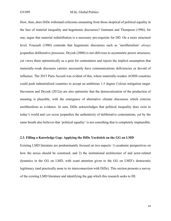How, then, does DiDe withstand criticisms emanating from those skeptical of political equality in the face of material inequality and hegemonic discourses? Gutmann and Thompson (1996), for one, argue that material redistribution is a necessary pre-requisite for DD. On a more structural level, Foucault (1980) contends that hegemonic discourses such as 'neoliberalism' *always* jeopardize deliberative processes. Dryzek (2000) is not oblivious to asymmetric power structures, yet views them optimistically as a grist for contestation and rejects the implicit assumption that materially-weak discourse carriers necessarily have communications deficiencies or devoid of influence. The 2015 Paris Accord was evident of this, where materially-weaker AOSIS countries could push industrialized countries to accept an ambitious 1.5 degree Celcius mitigation target. Stevenson and Dryzek (2012a) are also optimistic that the democratization of the production of meaning is plausible, with the emergence of alternative climate discourses which criticize neoliberalism as evidence. In sum, DiDe acknowledges that political inequality does exist in today's world and *can* occur jeopardize the authenticity of deliberative contestations, yet by the same breath also believes that 'political equality' is not something that is completely implausible.

#### **2.3. Filling a Knowledge Gap: Applying the DiDe Yardstick on the GG on LMD**

Existing LMD literature are predominantly focused on two aspects: 1) academic perspectives on how the nexus should be construed, and 2) the institutional architecture of and actor-related dynamics in the GG on LMD, with scant attention given to the GG on LMD's democratic legitimacy (and practically none to its interconnection with DiDe). This section presents a survey of the existing LMD literature and identifying the gap which this research seeks to fill.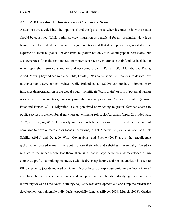#### **2.3.1. LMD Literature 1: How Academics Construe the Nexus**

Academics are divided into the 'optimists' and the 'pessimists' when it comes to how the nexus should be construed. While optimists view migration as beneficial for all, pessimists view it as being driven by underdevelopment in origin countries and that development is generated at the expense of labour migrants. For *optimists*, migration not only fills labour gaps in host states, but also generates 'financial remittances', or money sent back by migrants to their families back home which spur short-term consumption and economic growth (Ratha, 2003; Maimbo and Ratha, 2005). Moving beyond economic benefits, Levitt (1998) coins 'social remittances' to denote how migrants remit development values, while Rüland et. al. (2009) explore how migrants may influence democratization in the global South. To mitigate 'brain drain', or loss of potential human resources in origin countries, temporary migration is championed as a 'win-win' solution (consult Faist and Fauser, 2011). Migration is also perceived as widening migrants' families access to public services in the neoliberal era where governments roll back (Adida and Girod, 2011; de Haas, 2012; Rose Taylor, 2016). Ultimately, migration is believed as a more effective development tool compared to development aid or loans (Rosewarne, 2012). Meanwhile, *pessimists* such as Glick Schiller (2011) and Delgado Wise, Covarrubias, and Puente (2013) argue that (neoliberal) globalization caused many in the South to lose their jobs and subsidies – eventually, forced to migrate to the richer North. For them, there is a 'conspiracy' between underdeveloped origin countries, profit-maximizing businesses who desire cheap labors, and host countries who seek to fill low-security jobs denounced by citizens. Not only paid cheap wages, migrants as 'non-citizens' also have limited access to services and yet perceived as threats. Glorifying remittances is ultimately viewed as the North's strategy to justify less development aid and lump the burden for development on vulnerable individuals, especially females (Silvey, 2004; Munck, 2008). Castles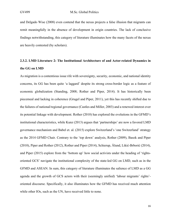and Delgado Wise (2008) even contend that the nexus projects a false illusion that migrants can remit meaningfully in the absence of development in origin countries. The lack of conclusive findings notwithstanding, this category of literature illuminates how the many facets of the nexus are heavily contested (by scholars).

## **2.3.2. LMD Literature 2: The Institutional Architecture of and Actor-related Dynamics in the GG on LMD**

As migration is a contentious issue rife with sovereignty, security, economic, and national identity concerns, its GG has been quite 'a laggard' despite its strong cross-border logic as a feature of economic globalization (Standing, 2008; Rother and Piper, 2014). It has historically been piecemeal and lacking in coherence (Grugel and Piper, 2011), yet this has recently shifted due to the failures of national/regional governance (Castles and Miller, 2003) and a renewed interest over its potential linkage with development. Rother (2010) has explored the evolutions in the GFMD's institutional characteristics, while Kunz (2013) argues that 'partnerships' are now a favored LMD governance mechanism and Babel et. al. (2015) explore Switzerland's 'one Switzerland' strategy as the 2014 GFMD Chair. Contrary to the 'top down' analysis, Rother (2009), Basok and Piper (2010), Piper and Rother (2012), Rother and Piper (2014), Schierup, Ålund, Likić-Brborić (2014), and Piper (2015) explore from the 'bottom up' how social activists under the heading of 'rightsoriented GCS' navigate the institutional complexity of the state-led GG on LMD, such as in the GFMD and ASEAN. In sum, this category of literature illuminates the salience of LMD as a GG agenda and the growth of GCS actors with their (seemingly unified) 'labour migrants' rights' oriented discourse. Specifically, it also illuminates how the GFMD has received much attention while other IOs, such as the UN, have received little to none.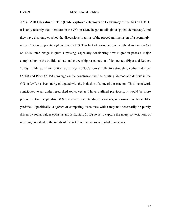#### **2.3.3. LMD Literature 3: The (Underexplored) Democratic Legitimacy of the GG on LMD**

It is only recently that literature on the GG on LMD began to talk about 'global democracy', and they have also only couched the discussions in terms of the procedural inclusion of a seeminglyunified 'labour migrants' rights-driven' GCS. This lack of consideration over the democracy – GG on LMD interlinkage is quite surprising, especially considering how migration poses a major complication to the traditional national citizenship-based notion of democracy (Piper and Rother, 2015). Building on their 'bottom up' analysis of GCS actors' collective struggles, Rother and Piper (2014) and Piper (2015) converge on the conclusion that the existing 'democratic deficit' in the GG on LMD has been fairly mitigated with the inclusion of some of those actors. This line of work contributes to an under-researched topic, yet as I have outlined previously, it would be more productive to conceptualize GCS as a sphere of contending discourses, as consistent with the DiDe yardstick. Specifically, a *sphere* of competing discourses which may not necessarily be purely driven by social values (Glasius and Ishkanian, 2015) so as to capture the many contestations of meaning prevalent in the minds of the AAP, or the *demos* of global democracy.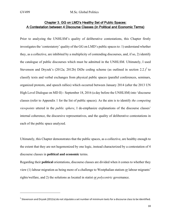#### Chapter 3. GG on LMD's Healthy Set of Public Spaces: A Contestation between 4 Discourse Classes (in Political and Economic Terms)

Prior to analyzing the UNHLSM's quality of deliberative contestations, this Chapter firstly investigates the 'contestatory' quality of the GG on LMD's public spaces to: 1) understand whether they, as a collective, are inhibited by a multiplicity of contending discourses, and, if so, 2) identify the catalogue of public discourses which must be admitted in the UNHLSM. Ultimately, I used Stevenson and Dryzek's (2012a; 2012b) DiDe coding scheme (as outlined in section 2.2.)<sup>5</sup> to classify texts and verbal exchanges from physical public spaces (parallel conferences, seminars, organized protests, and speech rallies) which occurred between January 2014 (after the 2013 UN High Level Dialogue on MD II) - September 18, 2016 (a day before the UNHLSM) into 'discourse classes (refer to Appendix 1 for the list of public spaces). As the aim is to identify *the competing viewpoints* uttered in the *public sphere*, I de-emphasize explanations of the discourse classes' internal coherence, the discursive representatives, and the quality of deliberative contestations in each of the public space analyzed.

Ultimately, this Chapter demonstrates that the public spaces, as a collective, are healthy enough to the extent that they are not hegemonized by one logic, instead characterized by a contestation of 4 discourse classes in **political and economic** terms.

Regarding their **political** orientations, discourse classes are divided when it comes to whether they view (1) labour migration as being more of a challenge to Westphalian statism or labour migrants' rights/welfare, and 2) the solutions as located in statist or *polycentric* governance.

 $<sup>5</sup>$  Stevenson and Dryzek (2012a) do not stipulate a set number of minimum texts for a discourse class to be identified.</sup>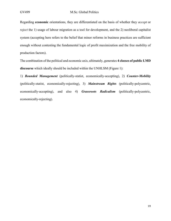Regarding **economic** orientations, they are differentiated on the basis of whether they *accept* or *reject* the 1) usage of labour migration as a tool for development, and the 2) neoliberal capitalist system (accepting here refers to the belief that minor reforms in business practices are sufficient enough without contesting the fundamental logic of profit maximization and the free mobility of production factors).

The combination of the political and economic axis, ultimately, generates **4 classes of public LMD discourse** which ideally should be included within the UNHLSM (Figure 1):

1) *Bounded Management* (politically-statist, economically-accepting), 2) *Counter-Mobility* (politically-statist, economically-rejecting), 3) *Mainstream Rights* (politically-polycentric, economically-accepting), and also 4) *Grassroots Radicalism* (politically-polycentric, economically-rejecting).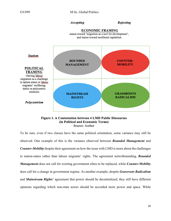#### Accepting

#### **Rejecting**

**ECONOMIC FRAMING** stance toward 'migration as a tool for development', and stance toward neoliberal capitalism



#### Figure 1. A Contestation between 4 LMD Public Discourses (in Political and Economic Terms) Source: Author

To be sure, even if two classes have the same political orientation, some variance may still be observed. One example of this is the variance observed between *Bounded Management* and *Counter-Mobility* despite their agreement on how the issue with LMD is more about the challenges to nation-states rather than labour migrants' rights. The agreement notwithstanding, *Bounded Management* does not call for existing government elites to be replaced, while *Counter-Mobility* does call for a change in government regime. As another example, despite *Grassroots Radicalism* and *Mainstream Rights*' agreement that power should be decentralized, they still have different opinions regarding which non-state actors should be accorded more power and space. While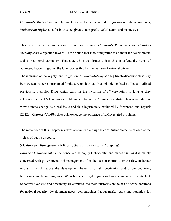*Grassroots Radicalism* merely wants them to be accorded to grass-root labour migrants, *Mainstream Rights* calls for both to be given to non-profit 'GCS' actors and businesses.

This is similar to economic orientation. For instance, *Grassroots Radicalism* and *Counter-Mobility* share a rejection toward: 1) the notion that labour migration is an input for development, and 2) neoliberal capitalism. However, while the former voices this to defend the rights of oppressed labour migrants, the latter voices this for the welfare of national citizens.

The inclusion of the largely 'anti-migration' *Counter-Mobility* as a legitimate discourse class may be viewed as rather controversial for those who view it as 'xenophobic' or 'racist'. Yet, as outlined previously, I employ DiDe which calls for the inclusion of *all* viewpoints so long as they acknowledge the LMD nexus as problematic. Unlike the 'climate denialists' class which did not view climate change as a real issue and thus legitimately excluded by Stevenson and Dryzek (2012a), *Counter-Mobility* does acknowledge the existence of LMD-related problems.

The remainder of this Chapter revolves around explaining the constitutive elements of each of the 4 class of public discourse.

#### **3.1.** *Bounded Management* (Politically-Statist; Economically-Accepting)

*Bounded Management* can be conceived as highly technocratic and managerial, as it is mainly concerned with governments' mismanagement of or the lack of control over the flow of labour migrants, which reduce the development benefits for all (destination and origin countries, businesses, and labour migrants). Weak borders, illegal migration channels, and governments' lack of control over who and how many are admitted into their territories on the basis of considerations for national security, development needs, demographics, labour market gaps, and potentials for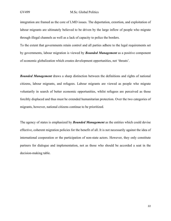integration are framed as the core of LMD issues. The deportation, extortion, and exploitation of labour migrants are ultimately believed to be driven by the large inflow of people who migrate through illegal channels as well as a lack of capacity to police the borders.

To the extent that governments retain control and all parties adhere to the legal requirements set by governments, labour migration is viewed by *Bounded Management* as a positive component of economic globalization which creates development opportunities, not 'threats'.

*Bounded Management* draws a sharp distinction between the definitions and rights of national citizens, labour migrants, and refugees. Labour migrants are viewed as people who migrate voluntarily in search of better economic opportunities, whilst refugees are perceived as those forcibly displaced and thus must be extended humanitarian protection. Over the two categories of migrants, however, national citizens continue to be prioritized.

The agency of states is emphasized by *Bounded Management* as the entities which could devise effective, coherent migration policies for the benefit of all. It is not necessarily against the idea of international cooperation or the participation of non-state actors. However, they only constitute partners for dialogue and implementation, not as those who should be accorded a seat in the decision-making table.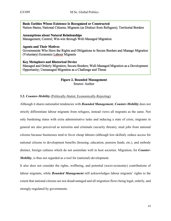#### Basic Entities Whose Existence Is Recognized or Constructed Nation-States; National Citizens; Migrants (as Distinct from Refugees); Territorial Borders

#### **Assumptions about Natural Relationships** Management; Control; Win-win through Well-Managed Migration

#### **Agents and Their Motives**

Governments Who Have the Rights and Obligations to Secure Borders and Manage Migration (Voluntary) Economic Labour Migrants

#### **Key Metaphors and Rhetorical Device**

Managed and Orderly Migration; Secure Borders; Well-Managed Migration as a Development Opportunity; Unmanaged Migration as a Challenge and Threat

#### **Figure 2. Bounded Management** Source: Author

#### **3.2.** *Counter-Mobility* (Politically-Statist; Economically-Rejecting)

Although it shares nationalist tendencies with *Bounded Management*, *Counter-Mobility* does not strictly differentiate labour migrants from refugees, instead views all migrants as the same. Not only burdening states with extra administrative tasks and inducing a state of crisis, migrants in general are also perceived as terrorists and criminals (security threats), steal jobs from national citizens because businesses tend to favor cheap labours (although low-skilled), reduce access for national citizens to development benefits (housing, education, pension funds, etc.), and embody distinct, foreign cultures which do not assimilate well in host societies. Migration, for *Counter-Mobility*, is thus not regarded as a tool for (national) development.

It also does not consider the rights, wellbeing, and potential (socio-economic) contributions of labour migrants, while *Bounded Management* still acknowledges labour migrants' rights to the extent that national citizens are not disadvantaged and all migration flows being legal, orderly, and strongly-regulated by governments.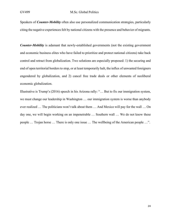Speakers of *Counter-Mobility* often also use personalized communication strategies, particularly citing the negative experiences felt by national citizens with the presence and behavior of migrants.

*Counter-Mobility* is adamant that newly-established governments (not the existing government and economic business elites who have failed to prioritize and protect national citizens) take back control and retract from globalization. Two solutions are especially proposed: 1) the securing and end of open territorial borders to stop, or at least temporarily halt, the influx of unwanted foreigners engendered by globalization, and 2) cancel free trade deals or other elements of neoliberal economic globalization.

Illustrative is Trump's (2016) speech in his Arizona rally: "… But to fix our immigration system, we must change our leadership in Washington … our immigration system is worse than anybody ever realized … The politicians won't talk about them … And Mexico will pay for the wall … On day one, we will begin working on an impenetrable … Southern wall … We do not know these people … Trojan horse … There is only one issue … The wellbeing of the American people …".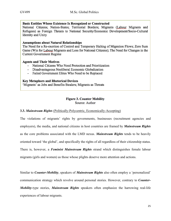#### **Basic Entities Whose Existence Is Recognized or Constructed**

National Citizens; Nation-States; Territorial Borders; Migrants (Labour Migrants and Refugees) as Foreign Threats to National Security/Economic Development/Socio-Cultural Identity and Unity

#### **Assumptions about Natural Relationships**

The Need for a Re-exertion of Control and Temporary Halting of Migration Flows; Zero Sum Game (Win for Labour Migrants and Loss for National Citizens); The Need for Changes in the Current Government Regime

#### **Agents and Their Motives**

- National Citizens Who Need Protection and Prioritization
- Disadvantageous Neoliberal Economic Globalization
- Failed Government Elites Who Need to be Replaced

#### **Key Metaphors and Rhetorical Devices**

'Migrants' as Jobs and Benefits Stealers; Migrants as Threats

#### **Figure 3. Counter Mobility** Source: Author

**3.3.** *Mainstream Rights* (Politically-Polycentric, Economically-Accepting)

The violations of migrants' rights by governments, businesses (recruitment agencies and employers), the media, and national citizens in host countries are framed by *Mainstream Rights* as the core problems associated with the LMD nexus. *Mainstream Rights* tends to be heavily oriented toward 'the global', and specifically the rights of all regardless of their citizenship status. There is, however, a *Feminist Mainstream Rights* strand which distinguishes female labour migrants (girls and women) as those whose plights deserve more attention and actions.

Similar to *Counter-Mobility*, speakers of *Mainstream Rights* also often employ a 'personalized' communication strategy which revolve around personal stories. However, contrary to *Counter-Mobility*-type stories, *Mainstream Rights* speakers often emphasize the harrowing real-life experiences of labour migrants.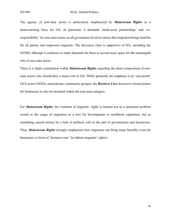The agency of non-state actors is particularly emphasized by *Mainstream Rights* as a democratizing force for GG. In particular, it demands 'multi-actor partnerships' and 'coresponsibility' for non-state actors on all governance levels to ensure that migration brings benefits for all parties and empowers migrants. The discourse class is supportive of IOs, including the GFMD, although it continues to make demands for them to accord more space for the meaningful role of non-state actors.

There is a slight contestation within *Mainstream Rights* regarding the ideal composition of nonstate actors who should play a major role in GG. While generally the emphasis is on 'non-profit' GCS actors (NGOs, associations, community groups), the *Business Case* discursive strand pushes for businesses to also be included within the non-state category.

For *Mainstream Rights*, the violation of migrants' rights is framed not as a structural problem rooted in the usage of migration as a tool for development or neoliberal capitalism, but as something caused merely by a lack of political will on the part of governments and businesses. Thus, *Mainstream Rights* strongly emphasizes how migration can bring many benefits, even for businesses (a form of 'business case' for labour migrants' rights).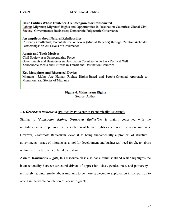Basic Entities Whose Existence Are Recognized or Constructed Labour Migrants; Migrants' Rights and Opportunities in Destination Countries; Global Civil Society; Governments; Businesses; Democratic Polycentric Governance

#### **Assumptions about Natural Relationships**

Currently Conflictual; Potentials for Win-Win (Mutual Benefits) through 'Multi-stakeholder Partnerships' on All Levels of Governance

#### **Agents and Their Motives**

Civil Society as a Democratizing Force Governments and Businesses in Destination Countries Who Lack Political Will Xenophobic Media and Citizens in Transit and Destination Countries

#### **Key Metaphors and Rhetorical Device**

Migrants' Rights Are Human Rights; Rights-Based and People-Oriented Approach to Migration; Sad Stories of Migrants

#### **Figure 4. Mainstream Rights** Source: Author

#### **3.4.** *Grassroots Radicalism* (Politically-Polycentric; Economically-Rejecting)

Similar to *Mainstream Rights*, *Grassroots Radicalism* is mainly concerned with the multidimensional oppression or the violation of human rights experienced by labour migrants. However, Grassroots Radicalism views it as being fundamentally a problem of structure – governments' usage of migrants as a tool for development and businesses' need for cheap labors within the structure of neoliberal capitalism.

Akin to *Mainstream Rights*, this discourse class also has a feminist strand which highlights the intersectionality between structural drivers of oppression: class, gender, race, and patriarchy – ultimately leading female labour migrants to be more subjected to exploitation in comparison to others in the whole population of labour migrants.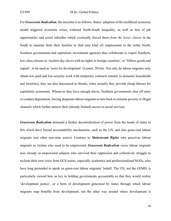For *Grassroots Radicalism*, the storyline is as follows. States' adoption of the neoliberal economic model triggered economic crises, widened North-South inequality, as well as loss of job opportunities and social subsidies which eventually forced those *from the lower classes* in the South to separate from their families to find (any kind of) employment in the richer North. Southern governments and capitalistic recruitment agencies thus collaborate to export Southern, low-class citizens as 'modern day slaves with no rights in foreign countries', or 'lifeless goods and capital', to be used as 'tools for development' (Lestari, 2016a). Not only do labour migrants only obtain low-paid and low-security work with temporary contracts (mostly in domestic households and factories), they are also denounced as threats, when actually they provide cheap labours for capitalistic economies. Whenever they have enough slaves, Northern governments shut off entry or conduct deportation, forcing desperate labour migrants to turn back to extreme poverty or illegal channels which further narrow their (already limited) access to social services.

*Grassroots Radicalism* demands a further decentralization of power from the hands of states to IOs which have formal accountability mechanisms, such as the UN, and also grass-root labour migrants (not other non-state actors). Contrary to *Mainstream Rights* who perceives labour migrants as victims who need to be empowered, *Grassroots Radicalism* views labour migrants now already as empowered subjects who survived their oppression and collectively struggle to reclaim their own voice from GCS actors, especially academics and professionalized NGOs, who have long pretended to speak on grass-root labour migrants' behalf. The UN, not the GFMD, is particularly viewed here as key to holding governments accountable so that they would realize 'development justice', or a form of development generated by states through which labour migrants reap benefits from development, not the other way around where development is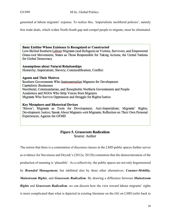generated at labour migrants' expense. To realize this, 'imperialistic neoliberal policies', namely

free trade deals, which widen North-South gap and compel people to migrate, must be eliminated.

#### **Basic Entities Whose Existence Is Recognized or Constructed**

Low-Skilled Southern Labour Migrants (and Refugees) as Victims, Survivors, and Empowered Grass-root Movements; States as Those Responsible for Taking Actions; the United Nations for Global Democracy

#### **Assumptions about Natural Relationships**

Hierarchy; Imperialism; Slavery; Commodification; Conflict

#### **Agents and Their Motives**

Southern Governments Who Instrumentalize Migrants for Development Capitalistic Businesses Neoliberal, Communitarian, and Xenophobic Northern Governments and People Academics and NGOs Who Strip Voices from Migrants Migrants Who Survive Oppression and Struggle for Rights/Justice

#### **Key Metaphors and Rhetorical Devices**

'Slaves'; Migrants as Tools for Development; Anti-Imperialism; Migrants' Rights; Development Justice; Speak About Migrants with Migrants; Reflection on Their Own Personal Experiences; Against the GFMD

#### **Figure 5. Grassroots Radicalism** Source: Author

The notion that there is a contestation of discourse classes in the LMD public spaces further serves as evidence for Stevenson and Dryzek's (2012a; 2012b) contention that the democratization of the production of meaning is 'plausible'. As a collectivity, the public spaces are not only hegemonized by *Bounded Management*, but inhibited also by three other alternatives: *Counter-Mobility*, *Mainstream Rights*, and *Grassroots Radicalism*. By drawing a difference between *Mainstream Rights* and *Grassroots Radicalism*, we can discern how the view toward labour migrants' rights is more complicated than what is depicted in existing literature on the GG on LMD (refer back to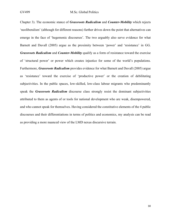Chapter 3). The economic stance of *Grassroots Radicalism* and *Counter-Mobility* which rejects 'neoliberalism' (although for different reasons) further drives down the point that alternatives can emerge in the face of 'hegemonic discourses'. The two arguably also serve evidence for what Barnett and Duvall (2005) argue as the proximity between 'power' and 'resistance' in GG. *Grassroots Radicalism* and *Counter-Mobility* qualify as a form of resistance toward the exercise of 'structural power' or power which creates injustice for some of the world's populations. Furthermore, *Grassroots Radicalism* provides evidence for what Barnett and Duvall (2005) argue as 'resistance' toward the exercise of 'productive power' or the creation of debilitating subjectivities. In the public spaces, low-skilled, low-class labour migrants who predominantly speak the *Grassroots Radicalism* discourse class strongly resist the dominant subjectivities attributed to them as agents of or tools for national development who are weak, disempowered, and who cannot speak for themselves. Having considered the constitutive elements of the 4 public discourses and their differentiations in terms of politics and economics, my analysis can be read as providing a more nuanced view of the LMD nexus discursive terrain.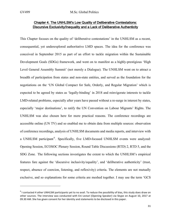#### Chapter 4. The UNHLSM's Low Quality of Deliberative Contestations: Discursive Exclusivity/Inequality and a Lack of Deliberative Authenticity

This Chapter focuses on the quality of 'deliberative contestations' in the UNHLSM as a recent, consequential, yet underexplored authoritative LMD spaces. The idea for the conference was conceived in September 2015 as part of an effort to tackle migration within the Sustainable Development Goals (SDGs) framework, and went on to manifest as a highly-prestigious 'High Level General Assembly Summit' (not merely a Dialogue). The UNHLSM went on to attract a breadth of participation from states and non-state entities, and served as the foundation for the negotiations on the 'UN Global Compact for Safe, Orderly, and Regular Migration' which is expected to be agreed by states as 'legally-binding' in 2018 and reinvigorate interests to tackle LMD-related problems, especially after years have passed without a re-surge in interest by states, especially 'major destinations', to ratify the UN Convention on Labour Migrants' Rights. The UNHLSM was also chosen here for more practical reasons. The conference recordings are accessible online (UN TV) and so enabled me to obtain data from multiple sources: observation of conference recordings, analysis of UNHLSM documents and media reports, and interview with a UNHLSM participant<sup>6</sup>. Specifically, five LMD-focused UNHLSM events were analyzed: Opening Session, ECOSOC Plenary Session, Round Table Discussions (RTD) 2, RTD 5, and the SDG Zone. The following sections investigates the extent to which the UNHLSM's empirical features fare against the 'discursive inclusivity/equality', and 'deliberative authenticity' (trust, respect, absence of coercion, listening, and reflexivity) criteria. The elements are not mutually exclusive, and so explanations for some criteria are meshed together. I may use the term 'GCS

 $^6$  I contacted 4 other UNHLSM participants yet to no avail. To reduce the possibility of bias, this study does draw on other sources. The interview was conducted with Eni Lestari (Opening Speaker) via Skype on August 10, 2017 at 09.30 AM. She has given consent for her identity and statements to be disclosed in this paper.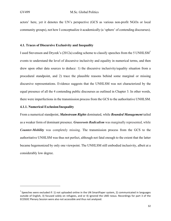actors' here, yet it denotes the UN's perspective (GCS as various non-profit NGOs or local community groups), not how I conceptualize it academically (a 'sphere' of contending discourses).

#### **4.1. Traces of Discursive Exclusivity and Inequality**

I used Stevenson and Dryzek's (2012a) coding scheme to classify speeches from the 5 UNHLSM<sup>7</sup> events to understand the level of discursive inclusivity and equality in numerical terms, and then drew upon other data sources to deduce: 1) the discursive inclusivity/equality situation from a procedural standpoint, and 2) trace the plausible reasons behind some marginal or missing discursive representations. Evidence suggests that the UNHLSM was not characterized by the equal presence of all the 4 contending public discourses as outlined in Chapter 3. In other words, there were imperfections in the transmission process from the GCS to the authoritative UNHLSM.

#### **4.1.1. Numerical Exclusion/Inequality**

From a numerical standpoint, *Mainstream Rights* dominated, while *Bounded Management* tailed as a weaker form of dominant presence. *Grassroots Radicalism* was marginally represented, while *Counter-Mobility* was completely missing. The transmission process from the GCS to the authoritative UNHLSM was thus not perfect, although not fatal enough to the extent that the latter became hegemonized by only one viewpoint. The UNHLSM still embodied inclusivity, albeit at a considerably low degree.

 $<sup>7</sup>$  Speeches were excluded if: 1) not uploaded online in the UN SmartPaper system, 2) communicated in languages</sup> outside of English, 3) focused solely on refugees, and or 4) ignored the LMD nexus. Recordings for part 3 of the ECOSOC Plenary Session were also not accessible and thus not analyzed.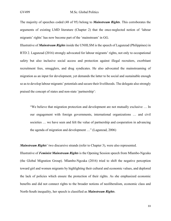The majority of speeches coded (48 of 95) belong to *Mainstream Rights*. This corroborates the arguments of existing LMD literature (Chapter 2) that the once-neglected notion of 'labour migrants' rights' has now become part of the 'mainstream' in GG.

Illustrative of *Mainstream Rights* inside the UNHLSM is the speech of Lagunzad (Philippines) in RTD 2. Lagunzad (2016) strongly advocated for labour migrants' rights, not only to occupational safety but also inclusive social access and protection against illegal recruiters, exorbitant recruitment fees, smugglers, and drug syndicates. He also advocated the mainstreaming of migration as an input for development, yet demands the latter to be social and sustainable enough so as to develop labour migrants' potentials and secure their livelihoods. The delegate also strongly praised the concept of states and non-state 'partnership':

"We believe that migration protection and development are not mutually exclusive … In our engagement with foreign governments, international organizations … and civil societies … we have seen and felt the value of partnership and cooperation in advancing the agenda of migration and development …" (Lagunzad, 2006)

*Mainstream Rights*' two discursive strands (refer to Chapter 3), were also represented.

Illustrative of *Feminist Mainstream Rights* is the Opening Session speech from Mlambo-Ngcuka (the Global Migration Group). Mlambo-Ngcuka (2016) tried to shift the negative perception toward girl and women migrants by highlighting their cultural and economic values, and deplored the lack of policies which ensure the protection of their rights. As she emphasized economic benefits and did not connect rights to the broader notions of neoliberalism, economic class and North-South inequality, her speech is classified as *Mainstream Rights*.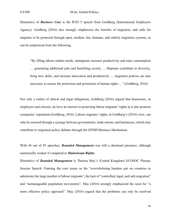Illustrative of *Business Case* is the RTD 5 speech from Goldberg (International Employers Agency). Goldberg (2016) also strongly emphasizes the benefits of migration, and calls for migrants to be protected through open, modern, fair, humane, and orderly migration systems, as can be understood from the following:

"By filling labour market needs, immigrants increase productivity and raise consumption … generating additional jobs and benefiting society … Migrants contribute to diversity, bring new skills, and increase innovation and productivity … migration policies are also necessary to ensure the protection and promotion of human rights …" (Goldberg, 2016)

Not only a matter of ethical and legal obligations, Goldberg (2016) argued that businesses, as employers and citizens, do have an interest in protecting labour migrants' rights as it also protects companies' reputation (Goldberg, 2016). Labour migrants' rights, in Goldberg's (2016) view, can only be ensured through a synergy between governments, trade unions, and businesses, which may contribute to migration policy debates through the GFMD Business Mechanism.

With 44 out of 95 speeches, *Bounded Management* was still a dominant presence, although numerically weaker if compared to *Mainstream Rights*.

Illustrative of *Bounded Management* is Theresa May's (United Kingdom) ECOSOC Plenary Session Speech. Framing the core issues as the "overwhelming burdens put on countries to administer the large number of labour migrants", the lack of "controlled, legal, and safe migration" and "unmanageable population movements", May (2016) strongly emphasized the need for "a more effective policy approach". May (2016) argued that the problems can only be resolved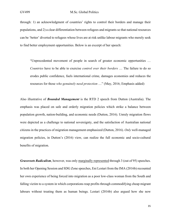through: 1) an acknowledgment of countries' rights to control their borders and manage their populations, and 2) a clear differentiation between refugees and migrants so that national resources can be 'better' diverted to refugees whose lives are at risk unlike labour migrants who merely seek to find better employment opportunities. Below is an excerpt of her speech:

"Unprecedented movement of people in search of greater economic opportunities … *Countries* have to be able to exercise *control over their borders* … The failure to do so erodes public confidence, fuels international crime, damages economies and reduces the resources for those *who genuinely need protection* …" (May, 2016; Emphasis added)

Also illustrative of *Bounded Management* is the RTD 2 speech from Dutton (Australia). The emphasis was placed on safe and orderly migration policies which strike a balance between population growth, nation-building, and economic needs (Dutton, 2016). Unruly migration flows were depicted as a challenge to national sovereignty, and the satisfaction of Australian national citizens in the practices of migration management emphasized (Dutton, 2016). *Only* well-managed migration policies, in Dutton's (2016) view, can realize the full economic and socio-cultural benefits of migration.

*Grassroots Radicalism*, however, was only marginally represented through 3 (out of 95) speeches. In both her Opening Session and SDG Zone speeches, Eni Lestari from the IMA (2016b) recounted her own experience of being forced into migration as a poor low-class woman from the South and falling victim to a system in which corporations reap profits through commodifying cheap migrant labours without treating them as human beings. Lestari (2016b) also argued how she now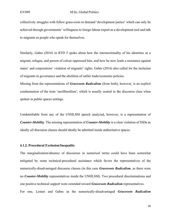collectively struggles with fellow grass-roots to demand 'development justice' which can only be achieved through governments' willingness to forego labour export as a development tool and talk to migrants as people who speak for themselves.

Similarly, Gabre (2016) in RTD 5 spoke about how the intersectionality of his identities as a migrant, refugee, and person of colour oppressed him, and how he now leads a resistance against states' and corporations' violation of migrants' rights. Gabre (2016) also called for the inclusion of migrants in governance and the abolition of unfair trade/economic policies.

Missing from the representations of *Grassroots Radicalism* (from both), however, is an explicit condemnation of the term 'neoliberalism', which is usually central to the discourse class when spoken in public spaces settings.

Unidentifiable from any of the UNHLSM speech analyzed, however, is a representation of *Counter-Mobility*. The missing representation of *Counter-Mobility* is a clear violation of DiDe as ideally *all* discourse classes should ideally be admitted inside authoritative spaces.

#### **4.1.2. Procedural Exclusion/Inequality**

The marginalization/absence of discourses in numerical terms could have been somewhat mitigated by some technical-procedural assistance which favors the representatives of the numerically-disadvantaged discourse classes (in this case *Grassroots Radicalism*, as there were no *Counter-Mobility* representatives inside the UNHLSM). Two procedural discriminations and one positive technical support were extended toward *Grassroots Radicalism* representatives. For one, Lestari and Gabre as the numerically-disadvantaged *Grassroots Radicalism*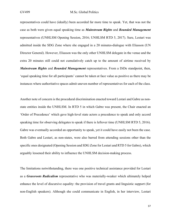representatives could have (ideally) been accorded far more time to speak. Yet, that was not the case as both were given equal speaking time as *Mainstream Rights* and *Bounded Management* representatives (UNHLSM Opening Session, 2016; UNHLSM RTD 5, 2017). Sure, Lestari was admitted inside the SDG Zone where she engaged in a 20 minutes-dialogue with Eliasson (UN Director General). However, Eliasson was the only other UNHLSM delegate in the venue and the extra 20 minutes still could not cumulatively catch up to the amount of airtime received by *Mainstream Rights* and *Bounded Management* representatives. From a DiDe standpoint, then, 'equal speaking time for all participants' cannot be taken at face value as positive as there may be instances where authoritative spaces admit uneven number of representatives for each of the class.

Another note of concern is the procedural discrimination enacted toward Lestari and Gabre as nonstate entities inside the UNHLSM. In RTD 5 in which Gabre was present, the Chair enacted an 'Order of Precedence' which gave high-level state actors a precedence to speak and only accord speaking time for observing delegates to speak if there is leftover time (UNHLSM RTD 5, 2016). Gabre was eventually accorded an opportunity to speak, yet it could have easily not been the case. Both Gabre and Lestari, as non-states, were also barred from attending sessions other than the specific ones designated (Opening Session and SDG Zone for Lestari and RTD 5 for Gabre), which arguably lessened their ability to influence the UNHLSM decision-making process.

The limitations notwithstanding, there was one positive technical assistance provided for Lestari as a *Grassroots Radicalism* representative who was materially-weaker which ultimately helped enhance the level of discursive equality: the provision of travel grants and linguistic support (for non-English speakers). Although she could communicate in English, in her interview, Lestari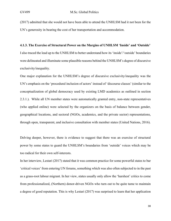(2017) admitted that she would not have been able to attend the UNHLSM had it not been for the UN's generosity in bearing the cost of her transportation and accommodation.

#### **4.1.3. The Exercise of Structural Power on the Margins of UNHLSM 'Inside' and 'Outside'**

I also traced the lead up to the UNHLSM to better understand how its 'inside'/'outside' boundaries were delineated and illuminate some plausible reasons behind the UNHLSM's degree of discursive exclusivity/inequality.

One major explanation for the UNHLSM's degree of discursive exclusivity/inequality was the UN's emphasis on the 'procedural inclusion of actors' instead of 'discourse classes' (similar to the conceptualization of global democracy used by existing LMD academics as outlined in section 2.3.1.). While all UN member states were automatically granted entry, non-state representatives (who applied online) were selected by the organizers on the basis of balance between gender, geographical locations, and sectoral (NGOs, academics, and the private sector) representations, through open, transparent, and inclusive consultation with member states (United Nations, 2016).

Delving deeper, however, there is evidence to suggest that there was an exercise of structural power by some states to guard the UNHLSM's boundaries from 'outside' voices which may be too radical for their own self-interests.

In her interview, Lestari (2017) stated that it was common practice for some powerful states to bar 'critical voices' from entering UN forums, something which was also often subjected to in the past as a grass-root labour migrant. In her view, states usually only allow the 'harshest' critics to come from professionalized, (Northern) donor-driven NGOs who turn out to be quite tame to maintain a degree of good reputation. This is why Lestari (2017) was surprised to learn that her application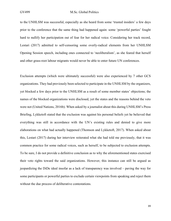to the UNHLSM was successful, especially as she heard from some 'trusted insiders' a few days prior to the conference that the same thing had happened again: some 'powerful parties' fought hard to nullify her participation out of fear for her radical voice. Considering her track record, Lestari (2017) admitted to self-censoring some overly-radical elements from her UNHLSM Opening Session speech, including ones connected to 'neoliberalism', as she feared that herself and other grass-root labour migrants would never be able to enter future UN conferences.

Exclusion attempts (which were ultimately successful) were also experienced by 7 other GCS organizations. They had previously been selected to participate in the UNHLSM by the organizers, yet blocked a few days prior to the UNHLSM as a result of some member states' objections; the names of the blocked organizations were disclosed, yet the states and the reasons behind the veto were not (United Nations, 2016b). When asked by a journalist about this during UNHLSM's Press Briefing, Lykketoft stated that the exclusion was against his personal beliefs yet he believed that everything was still in accordance with the UN's existing rules and denied to give more elaborations on what had actually happened (Thomson and Lykketoft, 2017). When asked about this, Lestari (2017) during her interview reiterated what she had told me previously, that it was common practice for some radical voices, such as herself, to be subjected to exclusion attempts. To be sure, I do not provide a definitive conclusion as to why the aforementioned states exercised their veto rights toward the said organizations. However, this instance can still be argued as jeopardizing the DiDe ideal insofar as a lack of transparency was involved – paving the way for some participants or powerful parties to exclude certain viewpoints from speaking and reject them without the due process of deliberative contestations.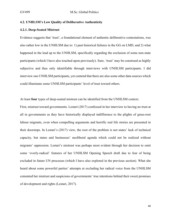#### **4.2. UNHLSM's Low Quality of Deliberative Authenticity**

#### **4.2.1. Deep-Seated Mistrust**

Evidence suggests that 'trust', a foundational element of authentic deliberative contestations, was also rather low in the UNHLSM due to: 1) past historical failures in the GG on LMD, and 2) what happened in the lead up to the UNHLSM, specifically regarding the exclusion of some non-state participants (which I have also touched upon previously). Sure, 'trust' may be construed as highly subjective and thus only identifiable through interviews with UNHLSM participants. I did interview one UNHLSM participants, yet contend that there are also some other data sources which could illuminate some UNHLSM participants' level of trust toward others.

At least **four** types of deep-seated mistrust can be identified from the UNHLSM context.

First, mistrust toward governments. Lestari (2017) confessed in her interview to having no trust at all in governments as they have historically displayed indifference to the plights of grass-root labour migrants, even when compelling arguments and horrific real life stories are presented in their doorsteps. In Lestari's (2017) view, the root of the problem is not states' lack of technical capacity, but states and businesses' neoliberal agenda which could not be realized without migrants' oppression. Lestari's mistrust was perhaps most evident through her decision to omit some 'overly-radical' features of her UNHLSM Opening Speech draft due to fear of being excluded in future UN processes (which I have also explored in the previous section). What she heard about some powerful parties' attempts at excluding her radical voice from the UNHLSM cemented her mistrust and suspicions of governments' true intentions behind their sweet promises of development and rights (Lestari, 2017).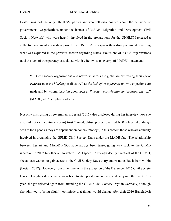Lestari was not the only UNHLSM participant who felt disappointed about the behavior of governments. Organizations under the banner of MADE (Migration and Development Civil Society Network) who were heavily involved in the preparations for the UNHLSM released a collective statement a few days prior to the UNHLSM to express their disappointment regarding what was explored in the previous section regarding states' exclusions of 7 GCS organizations (and the lack of transparency associated with it). Below is an excerpt of MADE's statement:

"… Civil society organizations and networks across the globe are expressing their *grave concern* over the *blocking* itself as well as *the lack of transparency* on why objections are made and by whom, *insisting* upon *open civil society participation and transparency* …" (MADE, 2016; emphasis added)

Not only mistrusting of governments, Lestari (2017) also disclosed during her interview how she also did not (and continue not to) trust "tamed, elitist, professionalized NGO elites who always seek to look good as they are dependent on donors' money", in this context those who are annually involved in organizing the GFMD Civil Society Days under the MADE flag. The relationship between Lestari and MADE NGOs have always been tense, going way back to the GFMD inception in 2007 (another authoritative LMD space). Although deeply skeptical of the GFMD, she at least wanted to gain access to the Civil Society Days to try and re-radicalize it from within (Lestari, 2017). However, from time time, with the exception of the December 2016 Civil Society Days in Bangladesh, she had always been treated poorly and not allowed entry into the event. This year, she got rejected again from attending the GFMD Civil Society Days in Germany, although she admitted to being slightly optimistic that things would change after their 2016 Bangladesh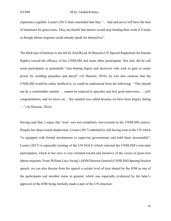experience together. Lestari (2017) then concluded that they "… had and never will have the best of intentions for grass-roots. They are fearful that donors would stop funding their work if it looks as though labour migrants could already speak for themselves".

The third type of mistrust is one felt by Zeid Ra'ad Al Hussein (UN Special Rapporteur for Human Rights) toward the efficacy of the UNHLSM and some other participants. Not only did he call some participants as potentially "race-baiting bigots and deceivers who seek to gain or retain power by wielding prejudice and deceit" (Al Hussein, 2016), he was also cautious that the UNHLSM would be rather ineffective, as could be understood from the following: "This should not be a comfortable summit … cannot be reduced to speeches and feel good interviews … selfcongratulations, and we move on… this summit was called because we have been largely failing …" (Al Hussein, 2016).

Having said that, I argue that 'trust' was not completely non-existent in the UNHLSM context. Despite her deep-rooted skepticisms, Lestari (2017) admitted to still having trust in the UN which "is equipped with formal mechanisms to supervise governments and hold them accountable". Lestari (2017) is especially trusting of the UN-NGLS (which selected the UNHLSM's non-state participants), which in her eyes is very oriented toward and inclusive of the voices of grass-root labour migrants. From William Lacy Swing's (IOM Director General) UNHLSM Opening Session speech, we can also discern from his speech a certain level of trust shared by the IOM as one of the participants and member states in general, which was especially evidenced by the latter's approval of the IOM being formally made a part of the UN structure: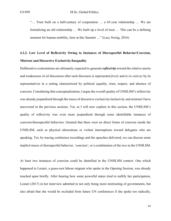"… Trust built on a half-century of cooperation … a 65-year relationship … We are formalizing an old relationship … We built up a level of trust … This can be a defining moment for human mobility, here at this Summit ..." (Lacy Swing, 2016)

## **4.2.2. Low Level of Reflexivity Owing to Instances of Disrespectful Behavior/Coercion, Mistrust and Discursive Exclusivity/Inequality**

Deliberative contestations are ultimately expected to generate *reflexivity* toward the relative merits and weaknesses of *all* discourses after each discourse is represented *freely* and *in its entirety* by its representatives in a setting characterized by political equality, trust, respect, and absence of coercion. Considering that conceptualization, I argue the overall quality of UNHLSM's reflexivity was already jeopardized through the traces of discursive exclusivity/inclusivity and mistrust I have uncovered in the previous sections. Yet, as I will now explore in this section, the UNHLSM's quality of reflexivity was even more jeopardized through some identifiable instances of coercion/disrespectful behaviors. Granted that there were no direct forms of coercion inside the UNHLSM, such as physical altercations or violent interruptions toward delegates who are speaking. Yet, by tracing conference recordings and the speeches delivered, we can discern some implicit traces of disrespectful behavior, 'coercion', or a combination of the two in the UNHLSM.

At least two instances of coercion could be identified in the UNHLSM context. One which happened to Lestari, a grass-root labour migrant who spoke in the Opening Session, was already touched upon briefly. After hearing how some powerful states tried to nullify her participation, Lestari (2017) in her interview admitted to not only being more mistrusting of governments, but also afraid that she would be excluded from future UN conferences if she spoke too radically,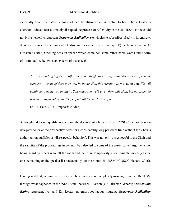especially about the fatalistic logic of neoliberalism which is central to her beliefs. Lestari's coercion-induced fear ultimately disrupted the process of reflexivity in the UNHLSM as she could not bring herself to represent *Grassroots Radicalism* (to which she subscribes) freely in its entirety. Another instance of coercion (which also qualifies as a form of 'disrespect') can be observed in Al Hussein's (2016) Opening Session speech which contained some rather harsh words and a form of intimidation. Below is an excerpt of his speech:

"… *race-baiting bigots* … *half truths and outright lies* … *bigots and deceivers* … *promote ruptures* … *some of them may well be in this Hall this morning* … we say to you: *We will continue to name you publicly*. *You may soon walk away from this Hall*, *but not from the broader judgement of 'we the people'*, *all the world's people* …"

(Al Hussein, 2016; Emphasis Added)

Although it does not qualify as coercion, the decision of a large sum of ECOSOC Plenary Session delegates to leave their respective seats for a considerably long period of time without the Chair's authorization qualifies as 'disrespectful behavior'. This was not only disrespectful to the Chair and the sanctity of the proceedings in general, but also led to some of the participants' arguments not being heard by others who left the room and the Chair temporarily suspending the meeting as the ones remaining on the speaker list had actually left the room (UNHLSM ECOSOC Plenary, 2016).

Having said that, genuine reflexivity can be argued as not completely missing from the UNHLSM through what happened in the 'SDG Zone' between Eliasson (UN Director General; *Mainstream Rights* representative) and Eni Lestari (a grass-root labour migrant; *Grassroots Radicalism*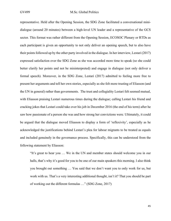representative. Held after the Opening Session, the SDG Zone facilitated a conversational minidialogue (around 20 minutes) between a high-level UN leader and a representative of the GCS sector. This format was rather different from the Opening Session, ECOSOC Plenary or RTDs as each participant is given an opportunity to not only deliver an opening speech, but to also have their points followed up by the other party involved in the dialogue. In her interview, Lestari (2017) expressed satisfaction over the SDG Zone as she was accorded more time to speak (so she could better clarify her points and not be misinterpreted) and engage in dialogue (not only deliver a formal speech). Moreover, in the SDG Zone, Lestari (2017) admitted to feeling more free to present her arguments and tell her own stories, especially as she felt more trusting of Eliasson (and the UN in general) rather than governments. The trust and collegiality Lestari felt seemed mutual, with Eliasson praising Lestari numerous times during the dialogue; calling Lestari his friend and cracking jokes that Lestari could take over his job in December 2016 (the end of his term) after he saw how passionate of a person she was and how strong her convictions were. Ultimately, it could be argued that the dialogue moved Eliasson to display a form of 'reflexivity', especially as he acknowledged the justifications behind Lestari's plea for labour migrants to be treated as equals and included genuinely in the governance process. Specifically, this can be understood from the following statement by Eliasson:

"It's great to hear you … We in the UN and member states should welcome you in our halls, that's why it's good for you to be one of our main speakers this morning. I also think you brought out something … You said that we don't want you to only work for us, but work with us. That's a very interesting additional thought, isn't it? That you should be part of working out the different formulas …" (SDG Zone, 2017)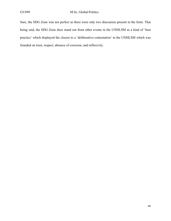Sure, the SDG Zone was not perfect as there were only two discourses present in the form. That being said, the SDG Zone does stand out from other events in the UNHLSM as a kind of 'best practice' which displayed the closest to a 'deliberative contestation' in the UNHLSM which was founded on trust, respect, absence of coercion, and reflexivity.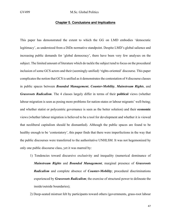#### Chapter 5. Conclusions and Implications

This paper has demonstrated the extent to which the GG on LMD embodies 'democratic legitimacy', as understood from a DiDe normative standpoint. Despite LMD's global salience and increasing public demands for 'global democracy', there have been very few analyses on the subject. The limited amount of literature which do tackle the subject tend to focus on the procedural inclusion of some GCS actors and their (seemingly-unified) 'rights-oriented' discourse. This paper complicatesthe notion that GCS is unified as it demonstratesthe contestation of 4 discourse classes in public spaces between *Bounded Management*, *Counter-Mobility*, *Mainstream Rights*, and *Grassroots Radicalism*. The 4 classes largely differ in terms of their **political** views (whether labour migration is seen as posing more problems for nation-states or labour migrants' well-being; and whether statist or polycentric governance is seen as the better solution) and their **economic** views (whether labour migration is believed to be a tool for development and whether it is viewed that neoliberal capitalism should be dismantled). Although the public spaces are found to be healthy enough to be 'contestatory', this paper finds that there were imperfections in the way that the public discourses were transferred to the authoritative UNHLSM. It was not hegemonized by only one public discourse class, yet it was marred by:

1) Tendencies toward discursive exclusivity and inequality (numerical dominance of *Mainstream Rights* and *Bounded Management*, marginal presence of *Grassroots Radicalism* and complete absence of *Counter-Mobility*; procedural discriminations experienced by *Grassroots Radicalism*; the exercise of structural power to delineate the inside/outside boundaries);

2) Deep-seated mistrust felt by participants toward others (governments, grass-root labour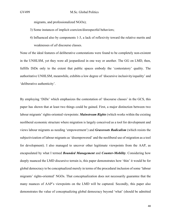migrants, and professionalized NGOs);

- 3) Some instances of implicit coercion/disrespectful behaviors;
- 4) Influenced also by components 1-3, a lack of reflexivity toward the relative merits and weaknesses of *all* discourse classes.

None of the ideal features of deliberative contestations were found to be completely non-existent in the UNHLSM, yet they were all jeopardized in one way or another. The GG on LMD, then, fulfills DiDe only to the extent that public spaces embody the 'contestatory' quality. The authoritative UNHLSM, meanwhile, exhibits a low degree of 'discursive inclusivity/equality' and 'deliberative authenticity'.

By employing 'DiDe' which emphasizes the contestation of 'discourse classes' in the GCS, this paper has shown that at least two things could be gained. First, a major distinction between two labour migrants' rights-oriented viewpoints: *Mainstream Rights* (which works within the existing neoliberal economic structure where migration is largely conceived as a tool for development and views labour migrants as needing 'empowerment') and *Grassroots Radicalism* (which resists the subjectivization of labour migrants as 'disempowered' and the neoliberal use of migration as a tool for development). I also managed to uncover other legitimate viewpoints from the AAP, as encapsulated by what I termed *Bounded Management* and *Counter-Mobility*. Considering how deeply nuanced the LMD discursive terrain is, this paper demonstrates how 'thin' it would be for global democracy to be conceptualized merely in terms of the procedural inclusion of some 'labour migrants' rights-oriented' NGOs. That conceptualization does not necessarily guarantee that the many nuances of AAP's viewpoints on the LMD will be captured. Secondly, this paper also demonstrates the value of conceptualizing global democracy beyond 'what' (should be admitted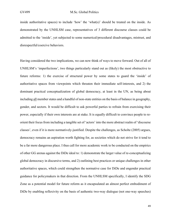inside authoritative spaces) to include 'how' the 'what(s)' should be treated on the inside. As demonstrated by the UNHLSM case, representatives of 3 different discourse classes could be admitted to the 'inside', yet subjected to some numerical/procedural disadvantages, mistrust, and disrespectful/coercive behaviors.

Having considered the two implications, we can now think of ways to move forward. Out of all of UNHLSM's 'imperfections', two things particularly stand out as (likely) the most obstructive to future reforms: 1) the exercise of structural power by some states to guard the 'inside' of authoritative spaces from viewpoints which threaten their immediate self-interests, and 2) the dominant practical conceptualization of global democracy, at least in the UN, as being about including all member states and a handful of non-state entities on the basis of balance in geography, gender, and sectors. It would be difficult to ask powerful parties to refrain from exercising their power, especially if their own interests are at stake. It is equally difficult to convince people to reorient their focus from including a tangible set of 'actors' into the more abstract realm of 'discourse classes', even if it is more normatively-justified. Despite the challenges, as Scholte (2005) argues, democracy remains an aspiration worth fighting for, as societies which do not strive for it tend to be a far more dangerous place. I thus call for more academic work to be conducted on the empirics of other GG arenas against the DiDe ideal to: 1) demonstrate the larger value of re-conceptualizing global democracy in discursive terms, and 2) outlining best practices or unique challenges in other authoritative spaces, which could strengthen the normative case for DiDe and engender practical guidance for policymakers in that direction. From the UNHLSM specifically, I identify the SDG Zone as a potential model for future reform as it encapsulated an almost perfect embodiment of DiDe by enabling reflexivity on the basis of authentic two-way dialogue (not one-way speeches)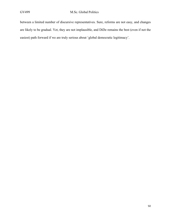between a limited number of discursive representatives. Sure, reforms are not easy, and changes are likely to be gradual. Yet, they are not implausible, and DiDe remains the best (even if not the easiest) path forward if we are truly serious about 'global democratic legitimacy'.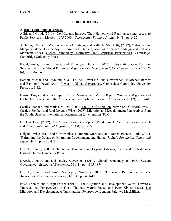#### **BIBLIOGRAPHY**

#### **A. Books and Journal Articles**

Adida and Girod, (2011), 'Do Migrants Improve Their Hometowns? Remittances and Access to Public Services in Mexico: 1995-2000', *Comparative Political Studies*, 44 (1), pp. 3-27.

Archibugi, Daniele, Mathias Koenig-Archibugi, and Raffaele Marchetti, (2012), 'Introduction: Mapping Global Democracy', in Archibugi Daniele, Mathias Koenig-Archibugi, and Raffaele Marchetti (*eds.*), Global Democracy: Normative and Empirical Perspectives, Cambridge: Cambridge University Press.

Babel, Anna, Susan Thieme, and Katarzyna Grabska, (2015), 'Negotiating One Position: Switzerland at the Global Forum on Migration and Development', *Development in Practice*, 25 (6), pp. 856-866.

Barnett, Michael and Raymond Duvall, (2005), 'Power in Global Governance', in Michael Barnett and Raymond Duvall (*eds.*), Power in Global Governance, Cambridge: Cambridge University Press, pp. 1-32.

Basok, Tanya and Nicola Piper (2010), 'Management Versus Rights: Women's Migration and Global Governance in Latin America and the Caribbean', *Feminist Economics*, 18 (2), pp. 35-61.

Castles, Stephen, and Mark J. Miller, (2003), The Age of Migration, New York, Guilford Press. Castles, Stephen and Raúl Delgado Wise, (2008), Migration and Development: Perspectives from the South, Geneva: International Organization for Migration (IOM).

De Haas, Hein, (2012), 'The Migration and Development Pendulum: A Critical View on Research and Policy', *International Migration*, 50 (3), pp. 8-25.

Delgado Wise, Raúl and Covarrubias, Humberto Márquez, and Ruben Puentes, (July 2013), 'Reframing the Debate on Migration, Development and Human Rights', *Population, Space, and Place*, 19 (4), pp. 430-443.

Dryzek, John S., (2000), Deliberative Democracy and Beyond: Liberals, Critics and Contestations, Oxford, Oxford University Press.

Dryzek, John S. and and Hayley Stevenson, (2011), 'Global Democracy and Earth System Governance', *Ecological Economics*, 70 (11), pp. 1865-1874.

Dryzek, John S. and Simon Niemeyer, (November 2008), 'Discursive Representation', *The American Political Science Review*, 102 (4), pp. 481-493.

Faist, Thomas and Margit Fauser, (2011), 'The Migration and Development Nexus: Toward a Transnational Perspective', in Faist, Thomas, Margit Fauser and Peter Kivisto (eds.), The Migration and Development: A Transnational Perspective, London, Palgrave MacMillan.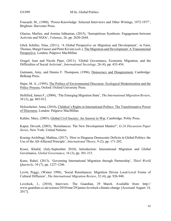Foucault, M., (1980), 'Power-Knowledge: Selected Interviews and Other Writings, 1972-1977', Brighton: Harvester Press.

Glasius, Marlies, and Armine Ishkanian, (2015), 'Surreptitious Symbosis: Engagement between Activists and NGOs', *Voluntas*, 26, pp. 2620-2644.

Glick Schiller, Nina, (2011), 'A Global Perspective on Migration and Development', in Faist, Thomas, Margit Fauser and Peter Kivisto (*eds.*), The Migration and Development: A Transnational Perspective, London, Palgrave MacMillan.

Grugel, Jean and Nicola Piper, (2011), 'Global Governance, Economic Migration, and the Difficulties of Social Activism', *International Sociology*, 26 (4), pp. 435-454.

Gutmann, Amy, and Dennis F. Thompson, (1996), Democracy and Disagreement, Cambridge: Belknap Press.

Hajer, M. A., (1995), The Politics of Environmental Discourse: Ecological Modernization and the Policy Process, Oxford: Oxford University Press.

Hollified, James F., (2004), 'The Emerging Migration State', *The International Migration Review*, 38 (3), pp. 885-912.

Holzscheiter, Anna, (2010), Children's Rights in International Politics: The Transformative Power of Discourse, London: Palgrave MacMillan.

Kaldor, Mary, (2003), Global Civil Society: An Answer to War, Cambridge: Polity Press.

Kapur, Devesh, (2003), 'Remittances: The New Development Mantra?', *G-24 Discussion Paper Series*, New York: United Nations.

Koenig-Archibugi, Mathias, (2017), 'How to Diagnose Democratic Deficits in Global Politics: the Use of the All-Affected Principle', *International Theory*, 9 (2), pp. 171-202.

Koser, Khalid, (July-September 2010), Introduction: International Migration and Global Governance, *Global Governance*, 16 (3), pp. 301-315.

Kunz, Rahel, (2013), 'Governing International Migration through Partnership', *Third World Quarterly*, 34 (7), pp. 1227-1246.

Levitt, Peggy, (Winter 1998), 'Social Remittances: Migration Driven Local-Level Forms of Cultural Diffusion', *The International Migration Review*, 32 (4), pp. 926-948.

Lovelock, J., (2010), Interview. The Guardian, 29 March. Available from: http:// www.guardian.co.uk/science/2010/mar/29/james-lovelock-climate-change [Accessed August 14, 2017].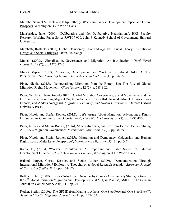Maimbo, Samuel Munzele and Dilip Ratha, (2005), Remittances: Development Impact and Future Prospects, Washington D.C.: World Bank.

Mansbridge, Jane, (2009), 'Deliberative and Non-Deliberative Negotiations', HKS Faculty Research Working Paper Series RWP09-010, John F Kennedy School of Government, Harvard University.

Marchetti, Raffaele, (2008), Global Democracy—For and Against: Ethical Theory, Institutional Design and Social Struggles, Oxon, Routledge.

Munck, (2008), 'Globalization, Governance, and Migration: An Introduction', *Third World Quarterly*, 29 (7), pp. 1227-1246.

Munck, (Spring 2012), 'Migration, Development, and Work in the Global Order: A New Perspective', *The Journal of Lation – Latin American Studies*, 4 (1), pp. 42-56.

Piper, Nicola, (2015), 'Democratizing Migration from the Bottom Up: The Rise of Global Migration Rights Movement', *Globalizations*, 12 (5), p. 788-802.

Piper, Nicola and Jean Grugel, (2015), 'Global Migration Governance, Social Movements, and the Difficulties of Promoting Migrant Rights', in Schierup, Carl-Ulrik, Ronaldo Munck, Branka Likic-Brboric, and Anders Neergaard, *Migration, Precarity, and Global Governance*, Oxford: Oxford University Press.

Piper, Nicola and Stefan Rother, (2012), 'Let's Argue About Migration: Advancing a Rights Discourse via Communicative Opportunities', *Third World Quarterly*, 33 (9), pp. 1735-1750.

Piper, Nicola and Stefan Rother, (2014), 'Alternative Regionalism from Below: Democratizing ASEAN's Migration Governance', *International Migration*, 53 (3), pp. 36-49.

Piper, Nicola and Stefan Rother, (2015), 'Migration and Democracy: Citizenship and Human Rights from a Multi-Level Perspective', *International Migration*, 53 (3), pp. 3-7.

Ratha, D., (2003), 'Workers' Remittances: An Important and Stable Source of External Development Finance', *Global Development Finance*, Washington D.C.: World Bank.

Rüland, Jürgen, Christl Kessler, and Stefan Rother, (2009), 'Democratization Through International Migration? Explorative Thoughts on a Novel Research Agenda', *European Journal of East Asian Studies*, 8 (2), pp. 161-179.

Rother, Stefan, (2009), 'Inside-Outside' or 'Outsiders by Choice? Civil Society Strategies towards the  $2<sup>nd</sup> Global Forum on migration and Development (GFMD) in Manila'$ , ASIEN – The German Journal on Contemporary Asia, 111, pp. 95-107.

Rother, Stefan, (2010), 'The GFMD from Manila to Athens: One Step Forward, One Step Back?', *Asian and Pacific Migration Journal*, 19 (1), pp. 157-173.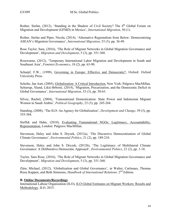Rother, Stefan,  $(2012)$ , 'Standing in the Shadow of Civil Society? The 4<sup>th</sup> Global Forum on Migration and Development (GFMD) in Mexico', *International Migration*, 50 (1).

Rother, Stefan and Piper, Nicola, (2014), 'Alternative Regionalism from Below: Democratizing ASEAN's Migration Governance', *International Migration*, 53 (3), pp. 36-49.

Rose Taylor, Sara, (2016), 'The Role of Migrant Networks in Global Migration Governance and Development', *Migration and Development*, 5 (3), pp. 351-360.

Rosewarne, (2012), 'Temporary International Labor Migration and Development in South and Southeast Asia', *Feminist Economics*, 18 (2), pp. 63-90.

Scharpf, F.W., (1999), Governing in Europe: Effective and Democratic?, Oxford: Oxford University Press.

Scholte, Jan Aart, (2005), Globalization: A Critical Introduction, New York: Palgrave MacMillan. Schierup, Ålund, Likić-Brborić, (2014), 'Migration, Precarization, and the Democratic Deficit in Global Governance', *International Migration*, 53 (3), pp. 50-63.

Silvey, Rachel, (2004), 'Transnational Domestication: State Power and Indonesian Migrant Women in Saudi Arabia', *Political Geography*, 23 (3), pp. 245-264.

Standing, (2008), 'The ILO: An Agency for Globalization', *Development and Change*, 39 (3), pp. 355-384.

Steffek and Hahn, (2010), Evaluating Transnational NGOs: Legitimacy, Accountability, Representation, London: Palgrave MacMillan.

Stevenson, Haley and John S. Dryzek, (2012a), 'The Discursive Democratisation of Global Climate Governance', *Environmental Politics*, 21 (2), pp. 189-210.

Stevenson, Haley and John S. Dryzek, (2012b), 'The Legitimacy of Multilateral Climate Governance: A Deliberative Democratic Approach', *Environmental Politics*, 21 (2), pp. 1-18.

Taylor, Sara Rose, (2016), 'The Role of Migrant Networks in Global Migration Governance and Development', *Migration and Development*, 5 (3), pp. 351-360.

Zürn, Michael, (2012), 'Globalization and Global Governance', in Walter, Carlsnaes, Thomas Risse Kappen, and Beth Simmons, *Handbook of International Relations*: 2nd Edition.

#### **B. Online Documents/Recordings**

International Labour Organization (ILO), ILO Global Estimates on Migrant Workers: Results and Methodology, ILO, 2015.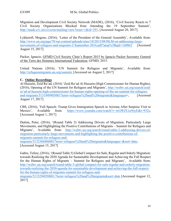Migration and Development Civil Society Network (MADE), (2016), 'Civil Society Reacts to 7 Civil Society Organizations Blocked from Attending the 19 September Summit', http://made.civ.im/civicrm/mailing/view?reset=1&id=291, [Accessed August 20, 2017]

Lykketoft, Mogens, (2016), 'Letter of the President of the General Assembly', Available from: http://www.un.org/pga/70/wp-content/uploads/sites/10/2015/08/HLM-on-addressing-largemovements-of-refugees-and-migrants-2-September-2016.pdf?amp%3Bqid=160862 [Accessed] August 15, 2017]

Packer, Ignacio, GFMD Civil Society Chair's Report 2015 by Ignacio Packer Secretary General of the Terre des Hommes International Federation, GFMD, 2015.

United Nations (2016), 'UN Summit for Refugees and Migrants', Available from: http://refugeesmigrants.un.org/summit, [Accessed on August 2, 2017]

#### **C. Online Recordings**

Al Hussein, Zeid Ra'ad, (2016) 'Zeid Ra'ad Al Hussein (High Commissioner for Human Rights), (2016), Opening of the UN Summit for Refugees and Migrants', http://webtv.un.org/search/zeidra'ad-al-hussein-high-commissioner-for-human-rights-opening-of-the-un-summit-for-refugeesand-migrants/5131949905001?term=refugees%20and%20migrants&languages=, [Accessed] August 17, 2017]

CBS, (2016), 'Full Speech: Trump Gives Immigration Speech in Arizona After Surprise Visit to Mexico', Available from: https://www.youtube.com/watch?v=wGWZUce9syE&t=932s, [Accessed August 1, 2017]

Dutton, Peter, (2016), '(Round Table 2) Addressing Drivers of Migration, Particularly Large Movements, and Highlighting the Positive Contributions of Migrants – Summit for Refugees and Migrants', Available from: http://webtv.un.org/search/round-table-2-addressing-drivers-ofmigration-particularly-large-movements-and-highlighting-the-positive-contributions-ofmigrants-summit-for-refugees-and-

migrants/5132366886001?term=refugees%20and%20migrants&languages=&sort=date,

[Accessed August 15, 2017]

Gabre, Tefere, (2016), '(Round Table 5) Global Compact for Safe, Regular and Orderly Migration: towards Realizing the 2030 Agenda for Sustainable Development and Achieving the Full Respect for the Human Rights of Migrants – Summit for Refugees and Migrants', Available from: http://webtv.un.org/search/round-table-5-global-compact-for-safe-regular-and-orderly-migrationtowards-realizing-the-2030-agenda-for-sustainable-development-and-achieving-the-full-respectfor-the-human-rights-of-migrants-summit-for-refugees-and-

migrants/5133294950001/?term=refugees%20and%20migrants&sort=date [Accessed August 12, 2017]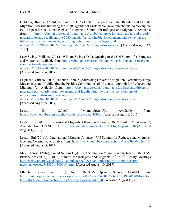Goldberg, Ronnie, (2016), '(Round Table 5) Global Compact for Safe, Regular and Orderly Migration: towards Realizing the 2030 Agenda for Sustainable Development and Achieving the Full Respect for the Human Rights of Migrants – Summit for Refugees and Migrants', Available from: http://webtv.un.org/search/round-table-5-global-compact-for-safe-regular-and-orderlymigration-towards-realizing-the-2030-agenda-for-sustainable-development-and-achieving-thefull-respect-for-the-human-rights-of-migrants-summit-for-refugees-andmigrants/5133294950001/?term=refugees%20and%20migrants&sort=date [Accessed August 12, 2017]

Lacy Swing, William, (2016), 'William Swing (IOM), Opening of the UN Summit for Refugees and Migrants', Available from: http://webtv.un.org/search/william-swing-iom-opening-of-the-unsummit-for-refugees-and-

migrants/5131949900001?term=refugees%20and%20migrants&languages=&sort=date [Accessed August 4, 2017]

Lagunzad, Ciriaco, (2016), '(Round Table 2) Addressing Drivers of Migration, Particularly Large Movements, and Highlighting the Positive Contributions of Migrants – Summit for Refugees and Migrants ', Available from: http://webtv.un.org/search/round-table-2-addressing-drivers-ofmigration-particularly-large-movements-and-highlighting-the-positive-contributions-ofmigrants-summit-for-refugees-and-

migrants/5132366886001?term=refugees%20and%20migrants&languages=&sort=date [Accessed August 5, 2017]

Lestari, Eni (2016a), #MigrantSpeakUN, Available from: https://www.youtube.com/watch?v=ipO9ikjTaMg&t=1096s, [Accessed August 6, 2017]

Lestari, Eni (2015), 'International Migrants Alliance – February UN Post-2015 Negotiations', Available from: UN NGLS, https://www.youtube.com/watch?v=PREfigQJxpA&t=28s [Accessed August 1, 2017].

Lestari, Eni (2016b), 'International Migrants Alliance – UN Summit for Refugees and Migrants' Opening Ceremony, Available from: https://www.youtube.com/watch?v=rYMCJfeq0nE&t=12s [Accessed August 5, 2017]

May, Theresa, (2016), United Nations High Level Summit on Migrants and Refugees (UNHLSM Plenary Session 2), (Part 2) Summit for Refugees and Migrants:  $4<sup>th</sup>$  to  $6<sup>th</sup>$  Plenary Meetings http://webtv.un.org/watch/part-2-summit-for-refugees-and-migrants-4th-to-6th-plenarymeetings-ecosoc/5133351130001/?term, [Accessed August 10, 2017]

Mlambo Ngcuka, Phumzile, (2016), 'UNHLSM Opening Session' Available from: https://link.brightcove.com/services/player/bcpid1722935254001/?bctid=5131937052001&autoS tart=false&secureConnections=true&width=675&height=380 [Accessed August 10, 2017]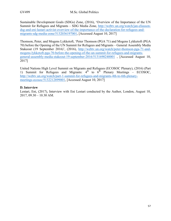Sustainable Development Goals (SDGs) Zone, (2016), 'Overview of the Importance of the UN Summit for Refugees and Migrants – SDG Media Zone, http://webtv.un.org/watch/jan-eliassondsg-and-eni-lastari-activist-overview-of-the-importance-of-the-declaration-for-refugees-andmigrants-sdg-media-zone/5132036197001, [Accessed August 10, 2017]

Thomson, Peter, and Mogens Lykketoft, 'Peter Thomson (PGA 71) and Mogens Lykketoft (PGA 70) before the Opening of the UN Summit for Refugees and Migrants – General Assembly Media Stakeout (19 September 2016)', (2016), http://webtv.un.org/watch/peter-thomson-pga-71-andmogens-lykketoft-pga-70-before-the-opening-of-the-un-summit-for-refugees-and-migrantsgeneral-assembly-media-stakeout-19-september-2016/5131690240001 , [Accessed August 10, 2017]

United Nations High Level Summit on Migrants and Refugees (ECOSOC Plenary), (2016) (Part 1) Summit for Refugees and Migrants:  $4<sup>th</sup>$  to  $6<sup>th</sup>$  Plenary Meetings – ECOSOC, http://webtv.un.org/watch/part-1-summit-for-refugees-and-migrants-4th-to-6th-plenarymeetings-ecosoc/5132212899001, [Accessed August 10, 2017]

#### **D. Interview**

Lestari, Eni, (2017), Interview with Eni Lestari conducted by the Author, London, August 10, 2017, 09.30 – 10.30 AM.